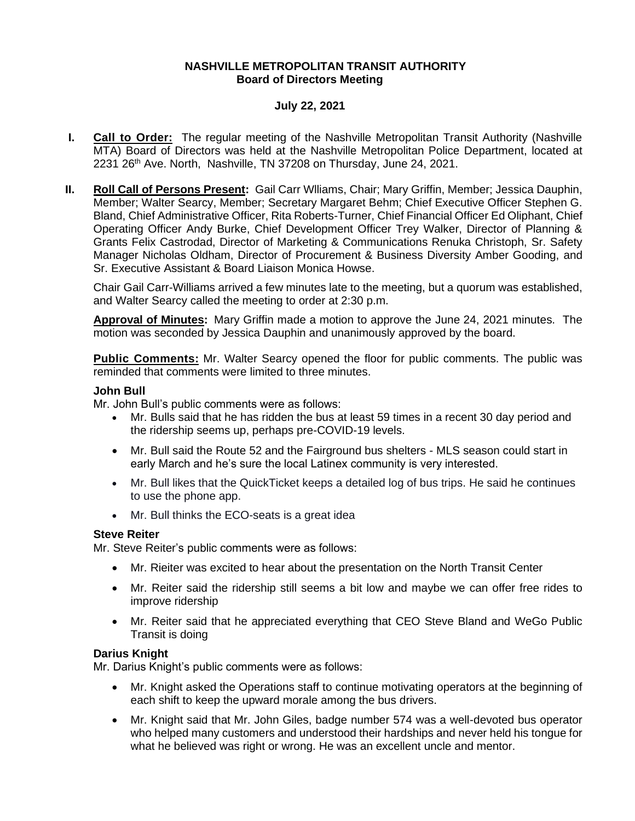#### **NASHVILLE METROPOLITAN TRANSIT AUTHORITY Board of Directors Meeting**

### **July 22, 2021**

- **I. Call to Order:** The regular meeting of the Nashville Metropolitan Transit Authority (Nashville MTA) Board of Directors was held at the Nashville Metropolitan Police Department, located at 2231 26<sup>th</sup> Ave. North, Nashville, TN 37208 on Thursday, June 24, 2021.
- **II. Roll Call of Persons Present:** Gail Carr Wlliams, Chair; Mary Griffin, Member; Jessica Dauphin, Member; Walter Searcy, Member; Secretary Margaret Behm; Chief Executive Officer Stephen G. Bland, Chief Administrative Officer, Rita Roberts-Turner, Chief Financial Officer Ed Oliphant, Chief Operating Officer Andy Burke, Chief Development Officer Trey Walker, Director of Planning & Grants Felix Castrodad, Director of Marketing & Communications Renuka Christoph, Sr. Safety Manager Nicholas Oldham, Director of Procurement & Business Diversity Amber Gooding, and Sr. Executive Assistant & Board Liaison Monica Howse.

Chair Gail Carr-Williams arrived a few minutes late to the meeting, but a quorum was established, and Walter Searcy called the meeting to order at 2:30 p.m.

**Approval of Minutes:** Mary Griffin made a motion to approve the June 24, 2021 minutes. The motion was seconded by Jessica Dauphin and unanimously approved by the board.

**Public Comments:** Mr. Walter Searcy opened the floor for public comments. The public was reminded that comments were limited to three minutes.

#### **John Bull**

Mr. John Bull's public comments were as follows:

- Mr. Bulls said that he has ridden the bus at least 59 times in a recent 30 day period and the ridership seems up, perhaps pre-COVID-19 levels.
- Mr. Bull said the Route 52 and the Fairground bus shelters MLS season could start in early March and he's sure the local Latinex community is very interested.
- Mr. Bull likes that the QuickTicket keeps a detailed log of bus trips. He said he continues to use the phone app.
- Mr. Bull thinks the ECO-seats is a great idea

#### **Steve Reiter**

Mr. Steve Reiter's public comments were as follows:

- Mr. Rieiter was excited to hear about the presentation on the North Transit Center
- Mr. Reiter said the ridership still seems a bit low and maybe we can offer free rides to improve ridership
- Mr. Reiter said that he appreciated everything that CEO Steve Bland and WeGo Public Transit is doing

#### **Darius Knight**

Mr. Darius Knight's public comments were as follows:

- Mr. Knight asked the Operations staff to continue motivating operators at the beginning of each shift to keep the upward morale among the bus drivers.
- Mr. Knight said that Mr. John Giles, badge number 574 was a well-devoted bus operator who helped many customers and understood their hardships and never held his tongue for what he believed was right or wrong. He was an excellent uncle and mentor.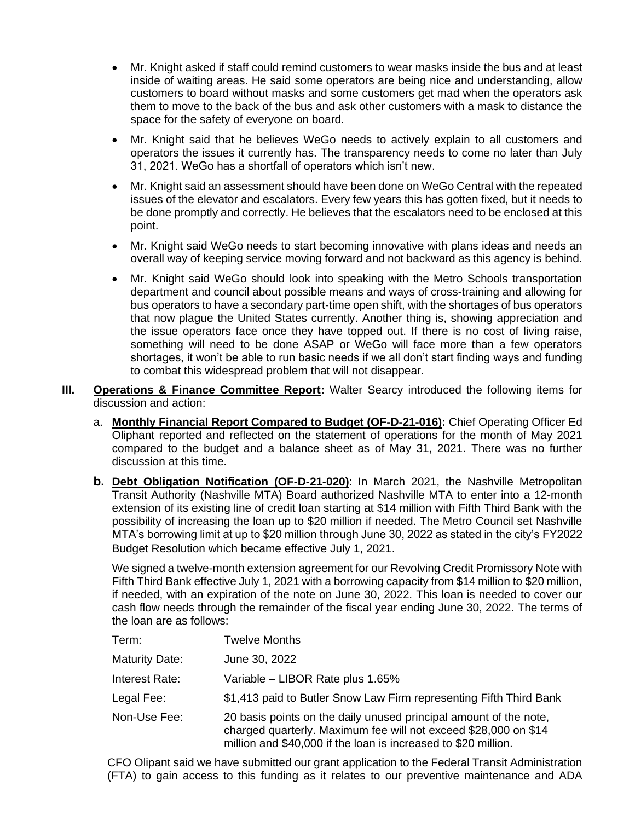- Mr. Knight asked if staff could remind customers to wear masks inside the bus and at least inside of waiting areas. He said some operators are being nice and understanding, allow customers to board without masks and some customers get mad when the operators ask them to move to the back of the bus and ask other customers with a mask to distance the space for the safety of everyone on board.
- Mr. Knight said that he believes WeGo needs to actively explain to all customers and operators the issues it currently has. The transparency needs to come no later than July 31, 2021. WeGo has a shortfall of operators which isn't new.
- Mr. Knight said an assessment should have been done on WeGo Central with the repeated issues of the elevator and escalators. Every few years this has gotten fixed, but it needs to be done promptly and correctly. He believes that the escalators need to be enclosed at this point.
- Mr. Knight said WeGo needs to start becoming innovative with plans ideas and needs an overall way of keeping service moving forward and not backward as this agency is behind.
- Mr. Knight said WeGo should look into speaking with the Metro Schools transportation department and council about possible means and ways of cross-training and allowing for bus operators to have a secondary part-time open shift, with the shortages of bus operators that now plague the United States currently. Another thing is, showing appreciation and the issue operators face once they have topped out. If there is no cost of living raise, something will need to be done ASAP or WeGo will face more than a few operators shortages, it won't be able to run basic needs if we all don't start finding ways and funding to combat this widespread problem that will not disappear.
- **III. Operations & Finance Committee Report:** Walter Searcy introduced the following items for discussion and action:
	- a. **Monthly Financial Report Compared to Budget (OF-D-21-016):** Chief Operating Officer Ed Oliphant reported and reflected on the statement of operations for the month of May 2021 compared to the budget and a balance sheet as of May 31, 2021. There was no further discussion at this time.
	- **b. Debt Obligation Notification (OF-D-21-020)**: In March 2021, the Nashville Metropolitan Transit Authority (Nashville MTA) Board authorized Nashville MTA to enter into a 12-month extension of its existing line of credit loan starting at \$14 million with Fifth Third Bank with the possibility of increasing the loan up to \$20 million if needed. The Metro Council set Nashville MTA's borrowing limit at up to \$20 million through June 30, 2022 as stated in the city's FY2022 Budget Resolution which became effective July 1, 2021.

We signed a twelve-month extension agreement for our Revolving Credit Promissory Note with Fifth Third Bank effective July 1, 2021 with a borrowing capacity from \$14 million to \$20 million, if needed, with an expiration of the note on June 30, 2022. This loan is needed to cover our cash flow needs through the remainder of the fiscal year ending June 30, 2022. The terms of the loan are as follows:

| Term:                 | <b>Twelve Months</b>                                                                                                                                                                                   |
|-----------------------|--------------------------------------------------------------------------------------------------------------------------------------------------------------------------------------------------------|
| <b>Maturity Date:</b> | June 30, 2022                                                                                                                                                                                          |
| Interest Rate:        | Variable - LIBOR Rate plus 1.65%                                                                                                                                                                       |
| Legal Fee:            | \$1,413 paid to Butler Snow Law Firm representing Fifth Third Bank                                                                                                                                     |
| Non-Use Fee:          | 20 basis points on the daily unused principal amount of the note,<br>charged quarterly. Maximum fee will not exceed \$28,000 on \$14<br>million and \$40,000 if the loan is increased to \$20 million. |

CFO Olipant said we have submitted our grant application to the Federal Transit Administration (FTA) to gain access to this funding as it relates to our preventive maintenance and ADA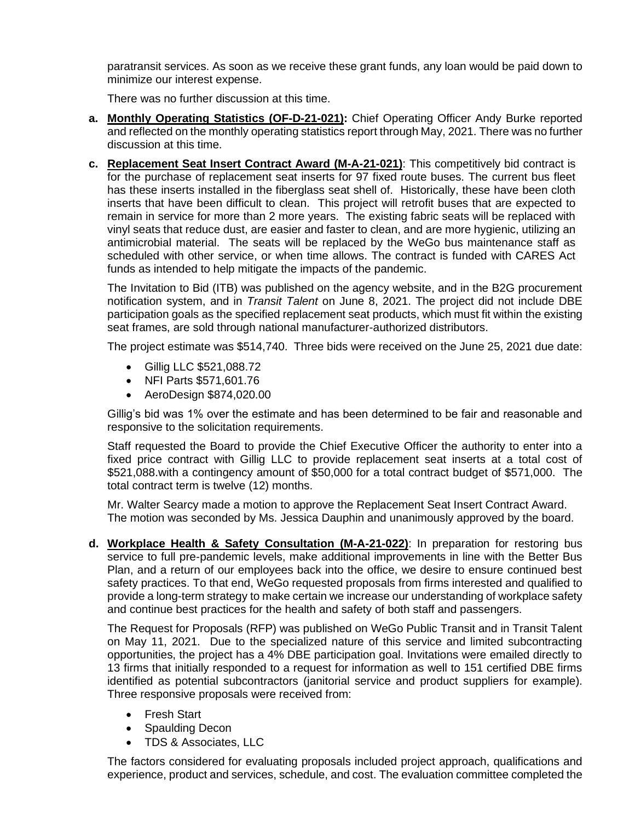paratransit services. As soon as we receive these grant funds, any loan would be paid down to minimize our interest expense.

There was no further discussion at this time.

- **a. Monthly Operating Statistics (OF-D-21-021):** Chief Operating Officer Andy Burke reported and reflected on the monthly operating statistics report through May, 2021. There was no further discussion at this time.
- **c. Replacement Seat Insert Contract Award (M-A-21-021)**: This competitively bid contract is for the purchase of replacement seat inserts for 97 fixed route buses. The current bus fleet has these inserts installed in the fiberglass seat shell of. Historically, these have been cloth inserts that have been difficult to clean. This project will retrofit buses that are expected to remain in service for more than 2 more years. The existing fabric seats will be replaced with vinyl seats that reduce dust, are easier and faster to clean, and are more hygienic, utilizing an antimicrobial material. The seats will be replaced by the WeGo bus maintenance staff as scheduled with other service, or when time allows. The contract is funded with CARES Act funds as intended to help mitigate the impacts of the pandemic.

The Invitation to Bid (ITB) was published on the agency website, and in the B2G procurement notification system, and in *Transit Talent* on June 8, 2021. The project did not include DBE participation goals as the specified replacement seat products, which must fit within the existing seat frames, are sold through national manufacturer-authorized distributors.

The project estimate was \$514,740. Three bids were received on the June 25, 2021 due date:

- Gillig LLC \$521,088.72
- NFI Parts \$571,601.76
- AeroDesign \$874,020.00

Gillig's bid was 1% over the estimate and has been determined to be fair and reasonable and responsive to the solicitation requirements.

Staff requested the Board to provide the Chief Executive Officer the authority to enter into a fixed price contract with Gillig LLC to provide replacement seat inserts at a total cost of \$521,088.with a contingency amount of \$50,000 for a total contract budget of \$571,000. The total contract term is twelve (12) months.

Mr. Walter Searcy made a motion to approve the Replacement Seat Insert Contract Award. The motion was seconded by Ms. Jessica Dauphin and unanimously approved by the board.

**d. Workplace Health & Safety Consultation (M-A-21-022)**: In preparation for restoring bus service to full pre-pandemic levels, make additional improvements in line with the Better Bus Plan, and a return of our employees back into the office, we desire to ensure continued best safety practices. To that end, WeGo requested proposals from firms interested and qualified to provide a long-term strategy to make certain we increase our understanding of workplace safety and continue best practices for the health and safety of both staff and passengers.

The Request for Proposals (RFP) was published on WeGo Public Transit and in Transit Talent on May 11, 2021. Due to the specialized nature of this service and limited subcontracting opportunities, the project has a 4% DBE participation goal. Invitations were emailed directly to 13 firms that initially responded to a request for information as well to 151 certified DBE firms identified as potential subcontractors (janitorial service and product suppliers for example). Three responsive proposals were received from:

- Fresh Start
- Spaulding Decon
- TDS & Associates, LLC

The factors considered for evaluating proposals included project approach, qualifications and experience, product and services, schedule, and cost. The evaluation committee completed the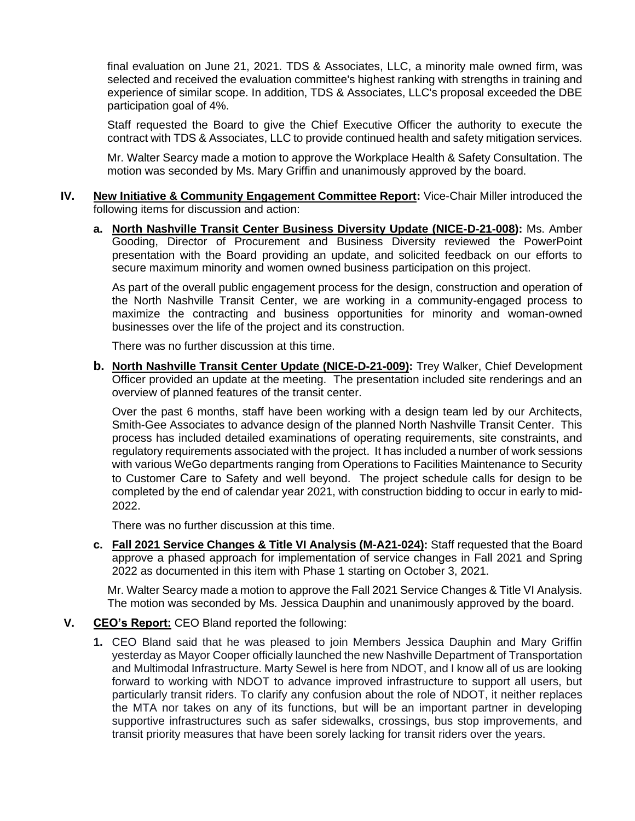final evaluation on June 21, 2021. TDS & Associates, LLC, a minority male owned firm, was selected and received the evaluation committee's highest ranking with strengths in training and experience of similar scope. In addition, TDS & Associates, LLC's proposal exceeded the DBE participation goal of 4%.

Staff requested the Board to give the Chief Executive Officer the authority to execute the contract with TDS & Associates, LLC to provide continued health and safety mitigation services.

Mr. Walter Searcy made a motion to approve the Workplace Health & Safety Consultation. The motion was seconded by Ms. Mary Griffin and unanimously approved by the board.

#### **IV. New Initiative & Community Engagement Committee Report:** Vice-Chair Miller introduced the following items for discussion and action:

**a. North Nashville Transit Center Business Diversity Update (NICE-D-21-008):** Ms. Amber Gooding, Director of Procurement and Business Diversity reviewed the PowerPoint presentation with the Board providing an update, and solicited feedback on our efforts to secure maximum minority and women owned business participation on this project.

As part of the overall public engagement process for the design, construction and operation of the North Nashville Transit Center, we are working in a community-engaged process to maximize the contracting and business opportunities for minority and woman-owned businesses over the life of the project and its construction.

There was no further discussion at this time.

**b. North Nashville Transit Center Update (NICE-D-21-009):** Trey Walker, Chief Development Officer provided an update at the meeting. The presentation included site renderings and an overview of planned features of the transit center.

Over the past 6 months, staff have been working with a design team led by our Architects, Smith-Gee Associates to advance design of the planned North Nashville Transit Center. This process has included detailed examinations of operating requirements, site constraints, and regulatory requirements associated with the project. It has included a number of work sessions with various WeGo departments ranging from Operations to Facilities Maintenance to Security to Customer Care to Safety and well beyond. The project schedule calls for design to be completed by the end of calendar year 2021, with construction bidding to occur in early to mid-2022.

There was no further discussion at this time.

**c. Fall 2021 Service Changes & Title VI Analysis (M-A21-024):** Staff requested that the Board approve a phased approach for implementation of service changes in Fall 2021 and Spring 2022 as documented in this item with Phase 1 starting on October 3, 2021.

Mr. Walter Searcy made a motion to approve the Fall 2021 Service Changes & Title VI Analysis. The motion was seconded by Ms. Jessica Dauphin and unanimously approved by the board.

## **V. CEO's Report:** CEO Bland reported the following:

**1.** CEO Bland said that he was pleased to join Members Jessica Dauphin and Mary Griffin yesterday as Mayor Cooper officially launched the new Nashville Department of Transportation and Multimodal Infrastructure. Marty Sewel is here from NDOT, and I know all of us are looking forward to working with NDOT to advance improved infrastructure to support all users, but particularly transit riders. To clarify any confusion about the role of NDOT, it neither replaces the MTA nor takes on any of its functions, but will be an important partner in developing supportive infrastructures such as safer sidewalks, crossings, bus stop improvements, and transit priority measures that have been sorely lacking for transit riders over the years.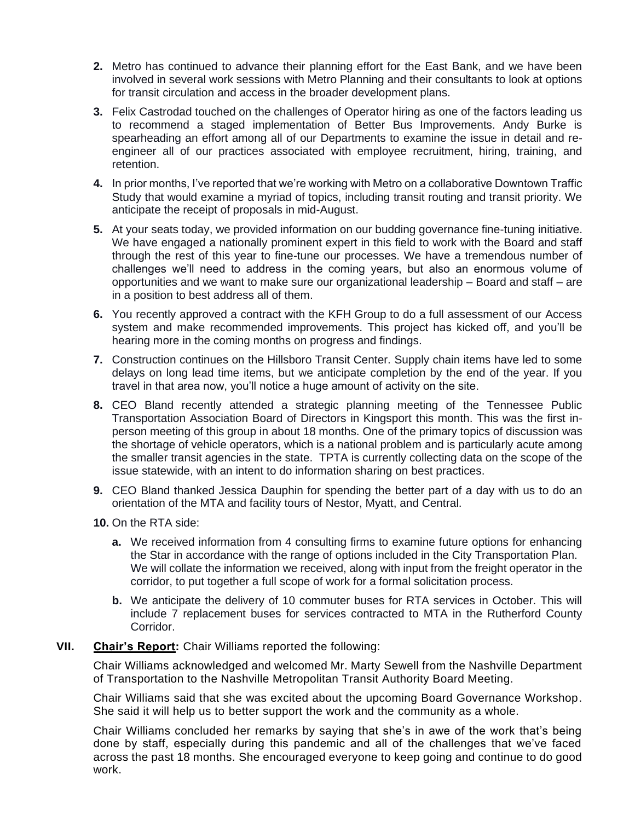- **2.** Metro has continued to advance their planning effort for the East Bank, and we have been involved in several work sessions with Metro Planning and their consultants to look at options for transit circulation and access in the broader development plans.
- **3.** Felix Castrodad touched on the challenges of Operator hiring as one of the factors leading us to recommend a staged implementation of Better Bus Improvements. Andy Burke is spearheading an effort among all of our Departments to examine the issue in detail and reengineer all of our practices associated with employee recruitment, hiring, training, and retention.
- **4.** In prior months, I've reported that we're working with Metro on a collaborative Downtown Traffic Study that would examine a myriad of topics, including transit routing and transit priority. We anticipate the receipt of proposals in mid-August.
- **5.** At your seats today, we provided information on our budding governance fine-tuning initiative. We have engaged a nationally prominent expert in this field to work with the Board and staff through the rest of this year to fine-tune our processes. We have a tremendous number of challenges we'll need to address in the coming years, but also an enormous volume of opportunities and we want to make sure our organizational leadership – Board and staff – are in a position to best address all of them.
- **6.** You recently approved a contract with the KFH Group to do a full assessment of our Access system and make recommended improvements. This project has kicked off, and you'll be hearing more in the coming months on progress and findings.
- **7.** Construction continues on the Hillsboro Transit Center. Supply chain items have led to some delays on long lead time items, but we anticipate completion by the end of the year. If you travel in that area now, you'll notice a huge amount of activity on the site.
- **8.** CEO Bland recently attended a strategic planning meeting of the Tennessee Public Transportation Association Board of Directors in Kingsport this month. This was the first inperson meeting of this group in about 18 months. One of the primary topics of discussion was the shortage of vehicle operators, which is a national problem and is particularly acute among the smaller transit agencies in the state. TPTA is currently collecting data on the scope of the issue statewide, with an intent to do information sharing on best practices.
- **9.** CEO Bland thanked Jessica Dauphin for spending the better part of a day with us to do an orientation of the MTA and facility tours of Nestor, Myatt, and Central.
- **10.** On the RTA side:
	- **a.** We received information from 4 consulting firms to examine future options for enhancing the Star in accordance with the range of options included in the City Transportation Plan. We will collate the information we received, along with input from the freight operator in the corridor, to put together a full scope of work for a formal solicitation process.
	- **b.** We anticipate the delivery of 10 commuter buses for RTA services in October. This will include 7 replacement buses for services contracted to MTA in the Rutherford County Corridor.

## **VII. Chair's Report:** Chair Williams reported the following:

Chair Williams acknowledged and welcomed Mr. Marty Sewell from the Nashville Department of Transportation to the Nashville Metropolitan Transit Authority Board Meeting.

Chair Williams said that she was excited about the upcoming Board Governance Workshop. She said it will help us to better support the work and the community as a whole.

Chair Williams concluded her remarks by saying that she's in awe of the work that's being done by staff, especially during this pandemic and all of the challenges that we've faced across the past 18 months. She encouraged everyone to keep going and continue to do good work.